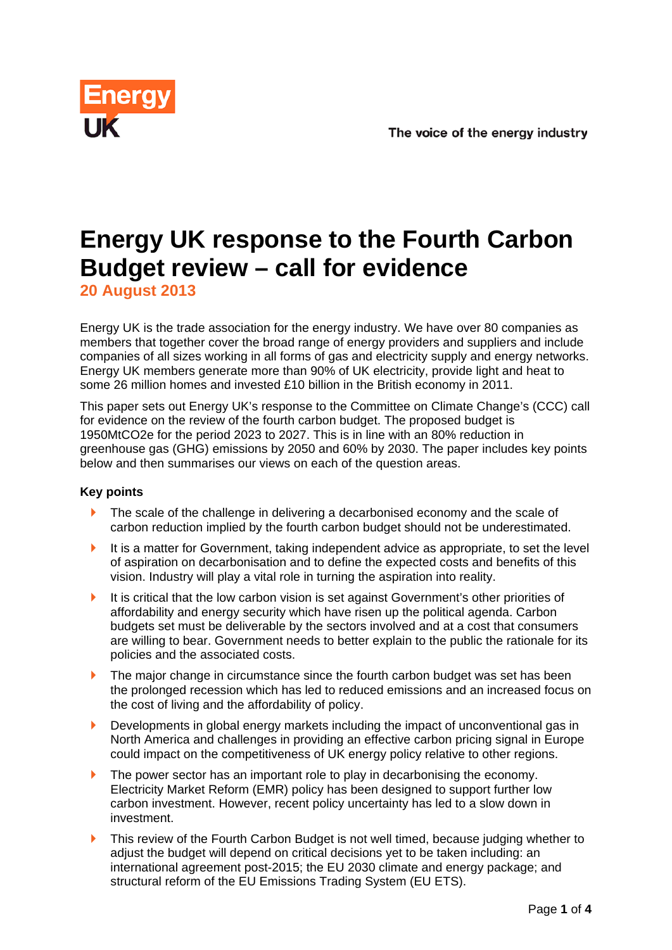

# **Energy UK response to the Fourth Carbon Budget review – call for evidence**

**20 August 2013** 

Energy UK is the trade association for the energy industry. We have over 80 companies as members that together cover the broad range of energy providers and suppliers and include companies of all sizes working in all forms of gas and electricity supply and energy networks. Energy UK members generate more than 90% of UK electricity, provide light and heat to some 26 million homes and invested £10 billion in the British economy in 2011.

This paper sets out Energy UK's response to the Committee on Climate Change's (CCC) call for evidence on the review of the fourth carbon budget. The proposed budget is 1950MtCO2e for the period 2023 to 2027. This is in line with an 80% reduction in greenhouse gas (GHG) emissions by 2050 and 60% by 2030. The paper includes key points below and then summarises our views on each of the question areas.

# **Key points**

- ▶ The scale of the challenge in delivering a decarbonised economy and the scale of carbon reduction implied by the fourth carbon budget should not be underestimated.
- It is a matter for Government, taking independent advice as appropriate, to set the level of aspiration on decarbonisation and to define the expected costs and benefits of this vision. Industry will play a vital role in turning the aspiration into reality.
- It is critical that the low carbon vision is set against Government's other priorities of affordability and energy security which have risen up the political agenda. Carbon budgets set must be deliverable by the sectors involved and at a cost that consumers are willing to bear. Government needs to better explain to the public the rationale for its policies and the associated costs.
- The major change in circumstance since the fourth carbon budget was set has been the prolonged recession which has led to reduced emissions and an increased focus on the cost of living and the affordability of policy.
- Developments in global energy markets including the impact of unconventional gas in North America and challenges in providing an effective carbon pricing signal in Europe could impact on the competitiveness of UK energy policy relative to other regions.
- The power sector has an important role to play in decarbonising the economy. Electricity Market Reform (EMR) policy has been designed to support further low carbon investment. However, recent policy uncertainty has led to a slow down in investment.
- This review of the Fourth Carbon Budget is not well timed, because judging whether to adjust the budget will depend on critical decisions yet to be taken including: an international agreement post-2015; the EU 2030 climate and energy package; and structural reform of the EU Emissions Trading System (EU ETS).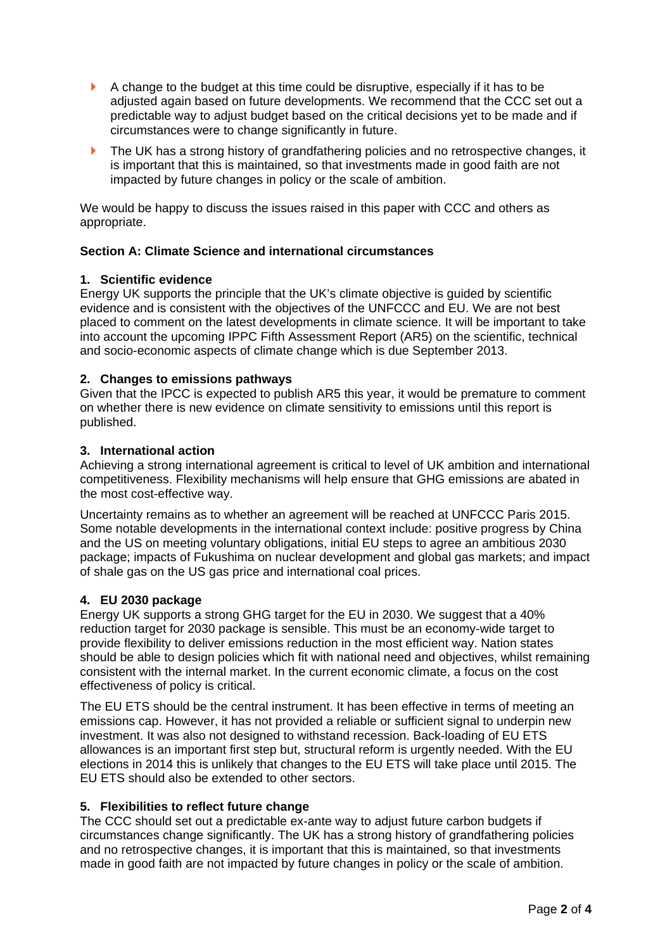- A change to the budget at this time could be disruptive, especially if it has to be adjusted again based on future developments. We recommend that the CCC set out a predictable way to adjust budget based on the critical decisions yet to be made and if circumstances were to change significantly in future.
- **The UK has a strong history of grandfathering policies and no retrospective changes, it** is important that this is maintained, so that investments made in good faith are not impacted by future changes in policy or the scale of ambition.

We would be happy to discuss the issues raised in this paper with CCC and others as appropriate.

# **Section A: Climate Science and international circumstances**

## **1. Scientific evidence**

Energy UK supports the principle that the UK's climate objective is guided by scientific evidence and is consistent with the objectives of the UNFCCC and EU. We are not best placed to comment on the latest developments in climate science. It will be important to take into account the upcoming IPPC Fifth Assessment Report (AR5) on the scientific, technical and socio-economic aspects of climate change which is due September 2013.

# **2. Changes to emissions pathways**

Given that the IPCC is expected to publish AR5 this year, it would be premature to comment on whether there is new evidence on climate sensitivity to emissions until this report is published.

# **3. International action**

Achieving a strong international agreement is critical to level of UK ambition and international competitiveness. Flexibility mechanisms will help ensure that GHG emissions are abated in the most cost-effective way.

Uncertainty remains as to whether an agreement will be reached at UNFCCC Paris 2015. Some notable developments in the international context include: positive progress by China and the US on meeting voluntary obligations, initial EU steps to agree an ambitious 2030 package; impacts of Fukushima on nuclear development and global gas markets; and impact of shale gas on the US gas price and international coal prices.

## **4. EU 2030 package**

Energy UK supports a strong GHG target for the EU in 2030. We suggest that a 40% reduction target for 2030 package is sensible. This must be an economy-wide target to provide flexibility to deliver emissions reduction in the most efficient way. Nation states should be able to design policies which fit with national need and objectives, whilst remaining consistent with the internal market. In the current economic climate, a focus on the cost effectiveness of policy is critical.

The EU ETS should be the central instrument. It has been effective in terms of meeting an emissions cap. However, it has not provided a reliable or sufficient signal to underpin new investment. It was also not designed to withstand recession. Back-loading of EU ETS allowances is an important first step but, structural reform is urgently needed. With the EU elections in 2014 this is unlikely that changes to the EU ETS will take place until 2015. The EU ETS should also be extended to other sectors.

# **5. Flexibilities to reflect future change**

The CCC should set out a predictable ex-ante way to adjust future carbon budgets if circumstances change significantly. The UK has a strong history of grandfathering policies and no retrospective changes, it is important that this is maintained, so that investments made in good faith are not impacted by future changes in policy or the scale of ambition.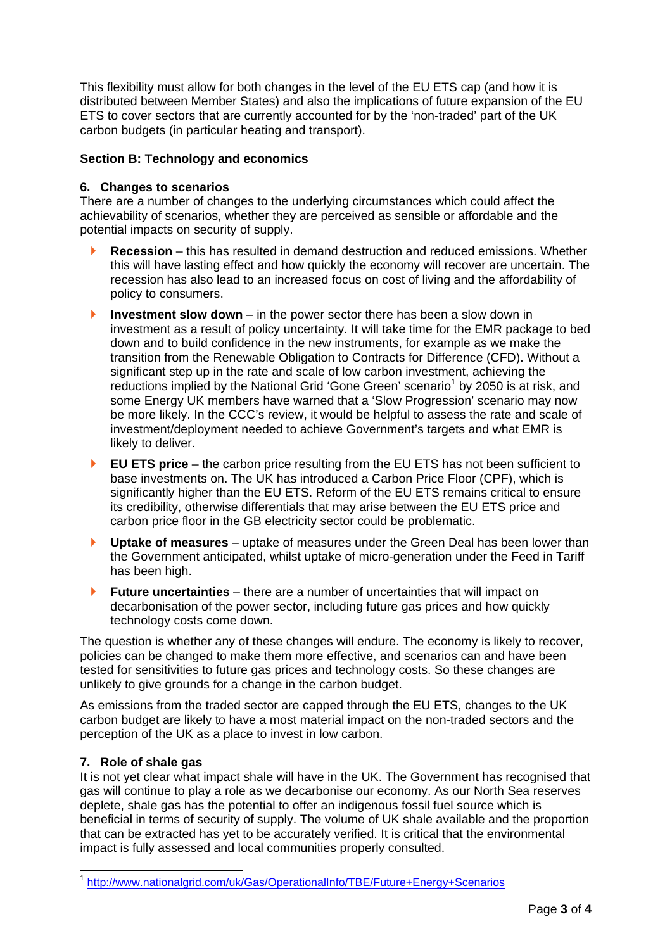This flexibility must allow for both changes in the level of the EU ETS cap (and how it is distributed between Member States) and also the implications of future expansion of the EU ETS to cover sectors that are currently accounted for by the 'non-traded' part of the UK carbon budgets (in particular heating and transport).

## **Section B: Technology and economics**

## **6. Changes to scenarios**

There are a number of changes to the underlying circumstances which could affect the achievability of scenarios, whether they are perceived as sensible or affordable and the potential impacts on security of supply.

- **Recession** this has resulted in demand destruction and reduced emissions. Whether this will have lasting effect and how quickly the economy will recover are uncertain. The recession has also lead to an increased focus on cost of living and the affordability of policy to consumers.
- **Investment slow down** in the power sector there has been a slow down in investment as a result of policy uncertainty. It will take time for the EMR package to bed down and to build confidence in the new instruments, for example as we make the transition from the Renewable Obligation to Contracts for Difference (CFD). Without a significant step up in the rate and scale of low carbon investment, achieving the reductions implied by the National Grid 'Gone Green' scenario<sup>1</sup> by 2050 is at risk, and some Energy UK members have warned that a 'Slow Progression' scenario may now be more likely. In the CCC's review, it would be helpful to assess the rate and scale of investment/deployment needed to achieve Government's targets and what EMR is likely to deliver.
- **EU ETS price** the carbon price resulting from the EU ETS has not been sufficient to base investments on. The UK has introduced a Carbon Price Floor (CPF), which is significantly higher than the EU ETS. Reform of the EU ETS remains critical to ensure its credibility, otherwise differentials that may arise between the EU ETS price and carbon price floor in the GB electricity sector could be problematic.
- **Uptake of measures** uptake of measures under the Green Deal has been lower than the Government anticipated, whilst uptake of micro-generation under the Feed in Tariff has been high.
- **Future uncertainties** there are a number of uncertainties that will impact on decarbonisation of the power sector, including future gas prices and how quickly technology costs come down.

The question is whether any of these changes will endure. The economy is likely to recover, policies can be changed to make them more effective, and scenarios can and have been tested for sensitivities to future gas prices and technology costs. So these changes are unlikely to give grounds for a change in the carbon budget.

As emissions from the traded sector are capped through the EU ETS, changes to the UK carbon budget are likely to have a most material impact on the non-traded sectors and the perception of the UK as a place to invest in low carbon.

## **7. Role of shale gas**

-

It is not yet clear what impact shale will have in the UK. The Government has recognised that gas will continue to play a role as we decarbonise our economy. As our North Sea reserves deplete, shale gas has the potential to offer an indigenous fossil fuel source which is beneficial in terms of security of supply. The volume of UK shale available and the proportion that can be extracted has yet to be accurately verified. It is critical that the environmental impact is fully assessed and local communities properly consulted.

<sup>1</sup> http://www.nationalgrid.com/uk/Gas/OperationalInfo/TBE/Future+Energy+Scenarios